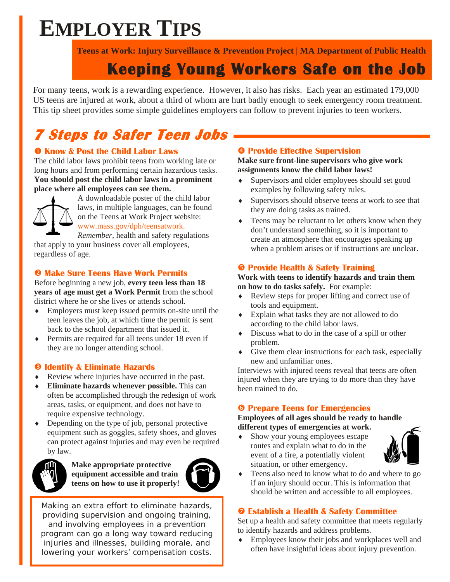# **EMPLOYER TIPS**

**Teens at Work: Injury Surveillance & Prevention Project | MA Department of Public Health** 

### **Keeping Young Workers Safe on the Job**

For many teens, work is a rewarding experience. However, it also has risks. Each year an estimated 179,000 US teens are injured at work, about a third of whom are hurt badly enough to seek emergency room treatment. This tip sheet provides some simple guidelines employers can follow to prevent injuries to teen workers.

# **7 Steps to Safer Teen Jobs**

#### **O** Know & Post the Child Labor Laws

The child labor laws prohibit teens from working late or long hours and from performing certain hazardous tasks. **You should post the child labor laws in a prominent place where all employees can see them.** 



A downloadable poster of the child labor laws, in multiple languages, can be found on the Teens at Work Project website: www.mass.gov/dph/teensatwork.

*Remember,* health and safety regulations that apply to your business cover all employees, regardless of age.

### o **Make Sure Teens Have Work Permits**

Before beginning a new job, **every teen less than 18 years of age must get a Work Permit** from the school district where he or she lives or attends school.

- ♦ Employers must keep issued permits on-site until the teen leaves the job, at which time the permit is sent back to the school department that issued it.
- Permits are required for all teens under 18 even if they are no longer attending school.

### $\Theta$  **Identify & Eliminate Hazards**

- ♦ Review where injuries have occurred in the past.
- **Eliminate hazards whenever possible.** This can often be accomplished through the redesign of work areas, tasks, or equipment, and does not have to require expensive technology.
- Depending on the type of job, personal protective equipment such as goggles, safety shoes, and gloves can protect against injuries and may even be required by law.



**Make appropriate protective equipment accessible and train teens on how to use it properly!**



Making an extra effort to eliminate hazards, providing supervision and ongoing training, and involving employees in a prevention program can go a long way toward reducing injuries and illnesses, building morale, and lowering your workers' compensation costs.

#### q **Provide Effective Supervision**

#### **Make sure front-line supervisors who give work assignments know the child labor laws!**

- ♦ Supervisors and older employees should set good examples by following safety rules.
- ♦ Supervisors should observe teens at work to see that they are doing tasks as trained.
- ♦ Teens may be reluctant to let others know when they don't understand something, so it is important to create an atmosphere that encourages speaking up when a problem arises or if instructions are unclear.

### **8 Provide Health & Safety Training**

#### **Work with teens to identify hazards and train them on how to do tasks safely.** For example:

- ♦ Review steps for proper lifting and correct use of tools and equipment.
- Explain what tasks they are not allowed to do according to the child labor laws.
- ♦ Discuss what to do in the case of a spill or other problem.
- ♦ Give them clear instructions for each task, especially new and unfamiliar ones.

Interviews with injured teens reveal that teens are often injured when they are trying to do more than they have been trained to do.

### **6 Prepare Teens for Emergencies**

#### **Employees of all ages should be ready to handle different types of emergencies at work.**

♦ Show your young employees escape routes and explain what to do in the event of a fire, a potentially violent situation, or other emergency.



Teens also need to know what to do and where to go if an injury should occur. This is information that should be written and accessible to all employees.

#### $\odot$  **Establish a Health & Safety Committee**

Set up a health and safety committee that meets regularly to identify hazards and address problems.

♦ Employees know their jobs and workplaces well and often have insightful ideas about injury prevention.